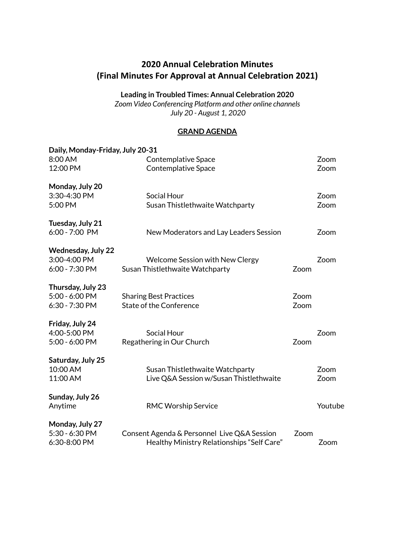# **2020 Annual Celebration Minutes (Final Minutes For Approval at Annual Celebration 2021)**

**Leading in Troubled Times: Annual Celebration 2020**

*Zoom Video Conferencing Platform and other online channels July 20 - August 1, 2020*

#### **GRAND AGENDA**

| Daily, Monday-Friday, July 20-31 |                                             |      |         |
|----------------------------------|---------------------------------------------|------|---------|
| 8:00 AM                          | <b>Contemplative Space</b>                  |      | Zoom    |
| 12:00 PM                         | <b>Contemplative Space</b>                  |      | Zoom    |
| Monday, July 20                  |                                             |      |         |
| 3:30-4:30 PM                     | Social Hour                                 |      | Zoom    |
| 5:00 PM                          | Susan Thistlethwaite Watchparty             |      | Zoom    |
| Tuesday, July 21                 |                                             |      |         |
| 6:00 - 7:00 PM                   | New Moderators and Lay Leaders Session      |      | Zoom    |
| <b>Wednesday, July 22</b>        |                                             |      |         |
| 3:00-4:00 PM                     | <b>Welcome Session with New Clergy</b>      |      | Zoom    |
| 6:00 - 7:30 PM                   | Susan Thistlethwaite Watchparty             | Zoom |         |
| Thursday, July 23                |                                             |      |         |
| 5:00 - 6:00 PM                   | <b>Sharing Best Practices</b>               | Zoom |         |
| 6:30 - 7:30 PM                   | <b>State of the Conference</b>              | Zoom |         |
| Friday, July 24                  |                                             |      |         |
| 4:00-5:00 PM                     | <b>Social Hour</b>                          |      | Zoom    |
| 5:00 - 6:00 PM                   | Regathering in Our Church                   | Zoom |         |
| Saturday, July 25                |                                             |      |         |
| 10:00 AM                         | Susan Thistlethwaite Watchparty             |      | Zoom    |
| 11:00 AM                         | Live Q&A Session w/Susan Thistlethwaite     |      | Zoom    |
| Sunday, July 26                  |                                             |      |         |
| Anytime                          | <b>RMC Worship Service</b>                  |      | Youtube |
| Monday, July 27                  |                                             |      |         |
| 5:30 - 6:30 PM                   | Consent Agenda & Personnel Live Q&A Session | Zoom |         |
| 6:30-8:00 PM                     | Healthy Ministry Relationships "Self Care"  |      | Zoom    |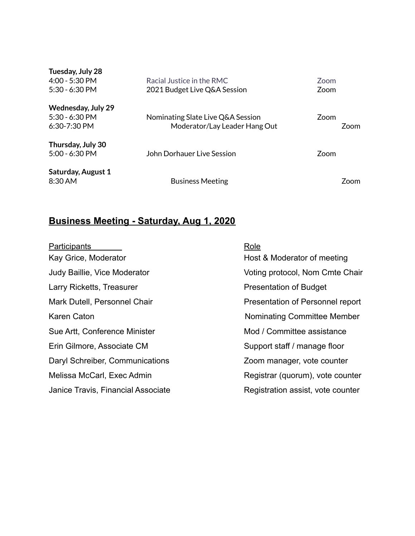| Tuesday, July 28          |                                   |             |             |
|---------------------------|-----------------------------------|-------------|-------------|
| 4:00 - 5:30 PM            | Racial Justice in the RMC         | <b>Zoom</b> |             |
| $5:30 - 6:30$ PM          | 2021 Budget Live Q&A Session      | <b>Zoom</b> |             |
| <b>Wednesday, July 29</b> |                                   |             |             |
| $5:30 - 6:30$ PM          | Nominating Slate Live Q&A Session | Zoom        |             |
| $6:30 - 7:30$ PM          | Moderator/Lay Leader Hang Out     |             | <b>Zoom</b> |
| Thursday, July 30         |                                   |             |             |
| $5:00 - 6:30$ PM          | John Dorhauer Live Session        | Zoom        |             |
| <b>Saturday, August 1</b> |                                   |             |             |
| 8:30 AM                   | <b>Business Meeting</b>           |             | <b>Zoom</b> |

# **Business Meeting - Saturday, Aug 1, 2020**

| <b>Participants</b>                 | Role                              |
|-------------------------------------|-----------------------------------|
| Kay Grice, Moderator                | Host & Moderator of meeting       |
| <b>Judy Baillie, Vice Moderator</b> | Voting protocol, Nom Cmte Chair   |
| Larry Ricketts, Treasurer           | <b>Presentation of Budget</b>     |
| Mark Dutell, Personnel Chair        | Presentation of Personnel report  |
| Karen Caton                         | Nominating Committee Member       |
| Sue Artt, Conference Minister       | Mod / Committee assistance        |
| Erin Gilmore, Associate CM          | Support staff / manage floor      |
| Daryl Schreiber, Communications     | Zoom manager, vote counter        |
| Melissa McCarl, Exec Admin          | Registrar (quorum), vote counter  |
| Janice Travis, Financial Associate  | Registration assist, vote counter |
|                                     |                                   |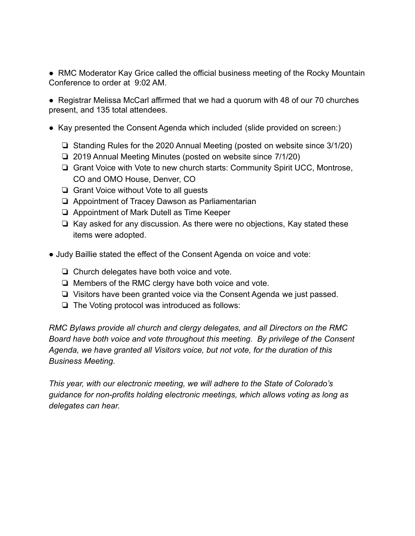• RMC Moderator Kay Grice called the official business meeting of the Rocky Mountain Conference to order at 9:02 AM.

● Registrar Melissa McCarl affirmed that we had a quorum with 48 of our 70 churches present, and 135 total attendees.

- Kay presented the Consent Agenda which included (slide provided on screen:)
	- ❏ Standing Rules for the 2020 Annual Meeting (posted on website since 3/1/20)
	- ❏ 2019 Annual Meeting Minutes (posted on website since 7/1/20)
	- ❏ Grant Voice with Vote to new church starts: Community Spirit UCC, Montrose, CO and OMO House, Denver, CO
	- ❏ Grant Voice without Vote to all guests
	- ❏ Appointment of Tracey Dawson as Parliamentarian
	- ❏ Appointment of Mark Dutell as Time Keeper
	- ❏ Kay asked for any discussion. As there were no objections, Kay stated these items were adopted.
- Judy Baillie stated the effect of the Consent Agenda on voice and vote:
	- ❏ Church delegates have both voice and vote.
	- ❏ Members of the RMC clergy have both voice and vote.
	- ❏ Visitors have been granted voice via the Consent Agenda we just passed.
	- ❏ The Voting protocol was introduced as follows:

*RMC Bylaws provide all church and clergy delegates, and all Directors on the RMC Board have both voice and vote throughout this meeting. By privilege of the Consent Agenda, we have granted all Visitors voice, but not vote, for the duration of this Business Meeting.*

*This year, with our electronic meeting, we will adhere to the State of Colorado's guidance for non-profits holding electronic meetings, which allows voting as long as delegates can hear.*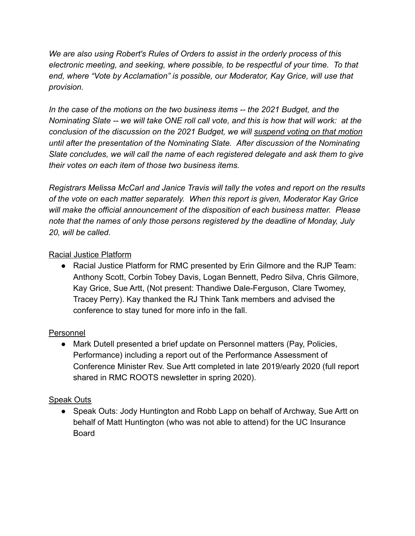*We are also using Robert's Rules of Orders to assist in the orderly process of this electronic meeting, and seeking, where possible, to be respectful of your time. To that end, where "Vote by Acclamation" is possible, our Moderator, Kay Grice, will use that provision.*

*In the case of the motions on the two business items -- the 2021 Budget, and the Nominating Slate -- we will take ONE roll call vote, and this is how that will work: at the conclusion of the discussion on the 2021 Budget, we will suspend voting on that motion until after the presentation of the Nominating Slate. After discussion of the Nominating Slate concludes, we will call the name of each registered delegate and ask them to give their votes on each item of those two business items.*

*Registrars Melissa McCarl and Janice Travis will tally the votes and report on the results of the vote on each matter separately. When this report is given, Moderator Kay Grice will make the official announcement of the disposition of each business matter. Please note that the names of only those persons registered by the deadline of Monday, July 20, will be called.*

# Racial Justice Platform

● Racial Justice Platform for RMC presented by Erin Gilmore and the RJP Team: Anthony Scott, Corbin Tobey Davis, Logan Bennett, Pedro Silva, Chris Gilmore, Kay Grice, Sue Artt, (Not present: Thandiwe Dale-Ferguson, Clare Twomey, Tracey Perry). Kay thanked the RJ Think Tank members and advised the conference to stay tuned for more info in the fall.

# Personnel

● Mark Dutell presented a brief update on Personnel matters (Pay, Policies, Performance) including a report out of the Performance Assessment of Conference Minister Rev. Sue Artt completed in late 2019/early 2020 (full report shared in RMC ROOTS newsletter in spring 2020).

# Speak Outs

• Speak Outs: Jody Huntington and Robb Lapp on behalf of Archway, Sue Artt on behalf of Matt Huntington (who was not able to attend) for the UC Insurance Board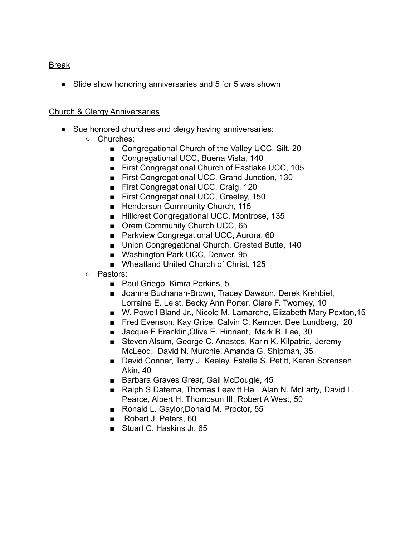## Break

● Slide show honoring anniversaries and 5 for 5 was shown

## Church & Clergy Anniversaries

- Sue honored churches and clergy having anniversaries:
	- Churches:
		- Congregational Church of the Valley UCC, Silt, 20
		- Congregational UCC, Buena Vista, 140
		- First Congregational Church of Eastlake UCC, 105
		- First Congregational UCC, Grand Junction, 130
		- First Congregational UCC, Craig. 120
		- First Congregational UCC, Greeley, 150
		- Henderson Community Church, 115
		- Hillcrest Congregational UCC, Montrose, 135
		- Orem Community Church UCC, 65
		- Parkview Congregational UCC, Aurora, 60
		- Union Congregational Church, Crested Butte, 140
		- Washington Park UCC, Denver, 95
		- Wheatland United Church of Christ, 125
	- Pastors:
		- Paul Griego, Kimra Perkins, 5
		- Joanne Buchanan-Brown, Tracey Dawson, Derek Krehbiel, Lorraine E. Leist, Becky Ann Porter, Clare F. Twomey, 10
		- W. Powell Bland Jr., Nicole M. Lamarche, Elizabeth Mary Pexton, 15
		- Fred Evenson, Kay Grice, Calvin C. Kemper, Dee Lundberg, 20
		- Jacque E Franklin, Olive E. Hinnant, Mark B. Lee, 30
		- Steven Alsum, George C. Anastos, Karin K. Kilpatric, Jeremy McLeod, David N. Murchie, Amanda G. Shipman, 35
		- David Conner, Terry J. Keeley, Estelle S. Petitt, Karen Sorensen Akin, 40
		- Barbara Graves Grear, Gail McDougle, 45
		- Ralph S Datema, Thomas Leavitt Hall, Alan N. McLarty, David L. Pearce, Albert H. Thompson III, Robert A West, 50
		- Ronald L. Gaylor, Donald M. Proctor, 55
		- Robert J. Peters, 60
		- Stuart C. Haskins Jr, 65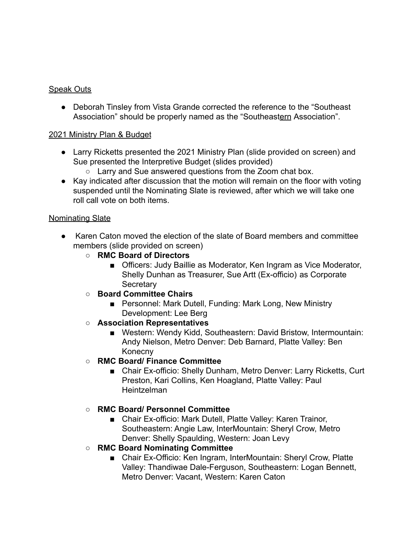## Speak Outs

● Deborah Tinsley from Vista Grande corrected the reference to the "Southeast Association" should be properly named as the "Southeastern Association".

#### 2021 Ministry Plan & Budget

- Larry Ricketts presented the 2021 Ministry Plan (slide provided on screen) and Sue presented the Interpretive Budget (slides provided)
	- Larry and Sue answered questions from the Zoom chat box.
- Kay indicated after discussion that the motion will remain on the floor with voting suspended until the Nominating Slate is reviewed, after which we will take one roll call vote on both items.

#### Nominating Slate

- Karen Caton moved the election of the slate of Board members and committee members (slide provided on screen)
	- **RMC Board of Directors**
		- Officers: Judy Baillie as Moderator, Ken Ingram as Vice Moderator, Shelly Dunhan as Treasurer, Sue Artt (Ex-officio) as Corporate **Secretary**
	- **○ Board Committee Chairs**
		- Personnel: Mark Dutell, Funding: Mark Long, New Ministry Development: Lee Berg
	- **○ Association Representatives**
		- Western: Wendy Kidd, Southeastern: David Bristow, Intermountain: Andy Nielson, Metro Denver: Deb Barnard, Platte Valley: Ben Konecny
	- **○ RMC Board/ Finance Committee**
		- Chair Ex-officio: Shelly Dunham, Metro Denver: Larry Ricketts, Curt Preston, Kari Collins, Ken Hoagland, Platte Valley: Paul Heintzelman

## **○ RMC Board/ Personnel Committee**

- Chair Ex-officio: Mark Dutell, Platte Valley: Karen Trainor, Southeastern: Angie Law, InterMountain: Sheryl Crow, Metro Denver: Shelly Spaulding, Western: Joan Levy
- **○ RMC Board Nominating Committee**
	- Chair Ex-Officio: Ken Ingram, InterMountain: Sheryl Crow, Platte Valley: Thandiwae Dale-Ferguson, Southeastern: Logan Bennett, Metro Denver: Vacant, Western: Karen Caton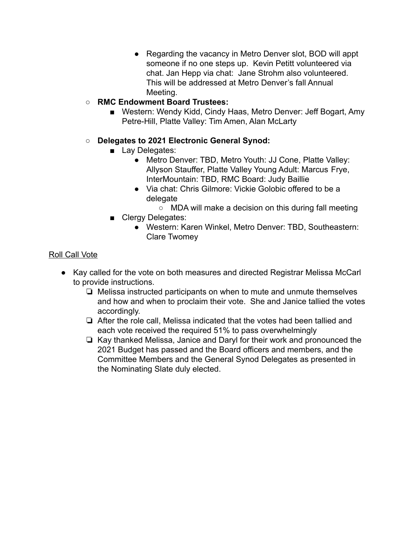- Regarding the vacancy in Metro Denver slot, BOD will appt someone if no one steps up. Kevin Petitt volunteered via chat. Jan Hepp via chat: Jane Strohm also volunteered. This will be addressed at Metro Denver's fall Annual Meeting.
- **○ RMC Endowment Board Trustees:**
	- Western: Wendy Kidd, Cindy Haas, Metro Denver: Jeff Bogart, Amy Petre-Hill, Platte Valley: Tim Amen, Alan McLarty

## **○ Delegates to 2021 Electronic General Synod:**

- Lay Delegates:
	- Metro Denver: TBD, Metro Youth: JJ Cone, Platte Valley: Allyson Stauffer, Platte Valley Young Adult: Marcus Frye, InterMountain: TBD, RMC Board: Judy Baillie
	- Via chat: Chris Gilmore: Vickie Golobic offered to be a delegate
		- MDA will make a decision on this during fall meeting
- Clergy Delegates:
	- Western: Karen Winkel, Metro Denver: TBD, Southeastern: Clare Twomey

## Roll Call Vote

- Kay called for the vote on both measures and directed Registrar Melissa McCarl to provide instructions.
	- ❏ Melissa instructed participants on when to mute and unmute themselves and how and when to proclaim their vote. She and Janice tallied the votes accordingly.
	- ❏ After the role call, Melissa indicated that the votes had been tallied and each vote received the required 51% to pass overwhelmingly
	- ❏ Kay thanked Melissa, Janice and Daryl for their work and pronounced the 2021 Budget has passed and the Board officers and members, and the Committee Members and the General Synod Delegates as presented in the Nominating Slate duly elected.